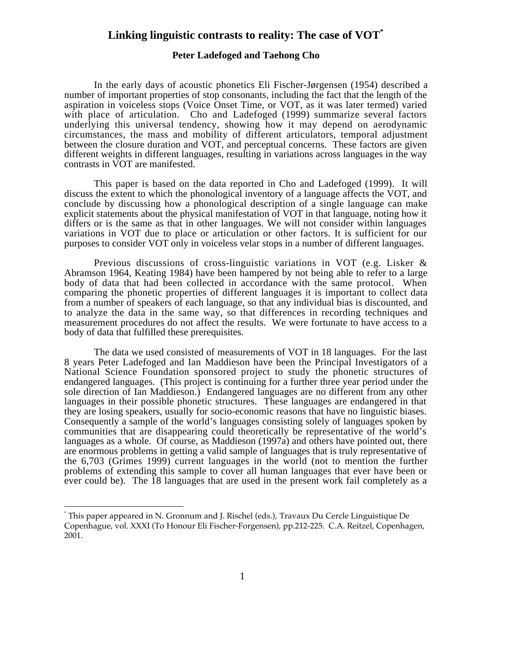## **Linking linguistic contrasts to reality: The case of VOT\***

## **Peter Ladefoged and Taehong Cho**

In the early days of acoustic phonetics Eli Fischer-Jørgensen (1954) described a number of important properties of stop consonants, including the fact that the length of the aspiration in voiceless stops (Voice Onset Time, or VOT, as it was later termed) varied with place of articulation. Cho and Ladefoged (1999) summarize several factors underlying this universal tendency, showing how it may depend on aerodynamic circumstances, the mass and mobility of different articulators, temporal adjustment between the closure duration and VOT, and perceptual concerns. These factors are given different weights in different languages, resulting in variations across languages in the way contrasts in VOT are manifested.

This paper is based on the data reported in Cho and Ladefoged (1999). It will discuss the extent to which the phonological inventory of a language affects the VOT, and conclude by discussing how a phonological description of a single language can make explicit statements about the physical manifestation of VOT in that language, noting how it differs or is the same as that in other languages. We will not consider within languages variations in VOT due to place or articulation or other factors. It is sufficient for our purposes to consider VOT only in voiceless velar stops in a number of different languages.

Previous discussions of cross-linguistic variations in VOT (e.g. Lisker & Abramson 1964, Keating 1984) have been hampered by not being able to refer to a large body of data that had been collected in accordance with the same protocol. When comparing the phonetic properties of different languages it is important to collect data from a number of speakers of each language, so that any individual bias is discounted, and to analyze the data in the same way, so that differences in recording techniques and measurement procedures do not affect the results. We were fortunate to have access to a body of data that fulfilled these prerequisites.

The data we used consisted of measurements of VOT in 18 languages. For the last 8 years Peter Ladefoged and Ian Maddieson have been the Principal Investigators of a National Science Foundation sponsored project to study the phonetic structures of endangered languages. (This project is continuing for a further three year period under the sole direction of Ian Maddieson.) Endangered languages are no different from any other languages in their possible phonetic structures. These languages are endangered in that they are losing speakers, usually for socio-economic reasons that have no linguistic biases. Consequently a sample of the world's languages consisting solely of languages spoken by communities that are disappearing could theoretically be representative of the world's languages as a whole. Of course, as Maddieson (1997a) and others have pointed out, there are enormous problems in getting a valid sample of languages that is truly representative of the 6,703 (Grimes 1999) current languages in the world (not to mention the further problems of extending this sample to cover all human languages that ever have been or ever could be). The 18 languages that are used in the present work fail completely as a

 $\overline{a}$ 

<sup>\*</sup> This paper appeared in N. Gronnum and J. Rischel (eds.), Travaux Du Cercle Linguistique De Copenhague, vol. XXXI (To Honour Eli Fischer-Forgensen), pp.212-225. C.A. Reitzel, Copenhagen, 2001.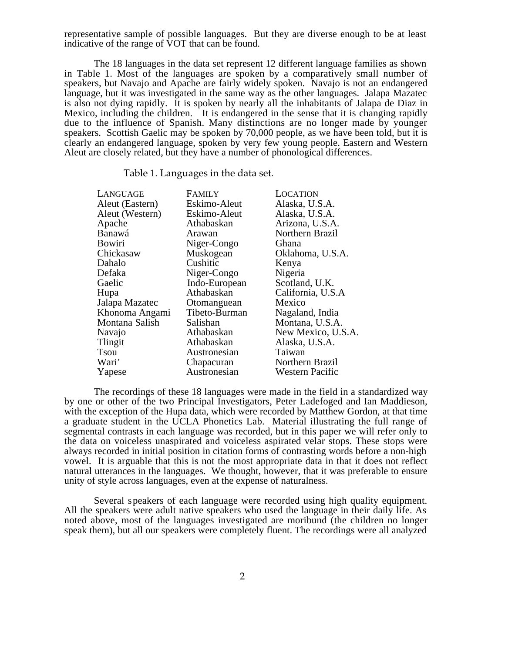representative sample of possible languages. But they are diverse enough to be at least indicative of the range of VOT that can be found.

The 18 languages in the data set represent 12 different language families as shown in Table 1. Most of the languages are spoken by a comparatively small number of speakers, but Navajo and Apache are fairly widely spoken. Navajo is not an endangered language, but it was investigated in the same way as the other languages. Jalapa Mazatec is also not dying rapidly. It is spoken by nearly all the inhabitants of Jalapa de Diaz in Mexico, including the children. It is endangered in the sense that it is changing rapidly due to the influence of Spanish. Many distinctions are no longer made by younger speakers. Scottish Gaelic may be spoken by 70,000 people, as we have been told, but it is clearly an endangered language, spoken by very few young people. Eastern and Western Aleut are closely related, but they have a number of phonological differences.

Table 1. Languages in the data set.

| LANGUAGE        | <b>FAMILY</b> | <b>LOCATION</b>        |
|-----------------|---------------|------------------------|
| Aleut (Eastern) | Eskimo-Aleut  | Alaska, U.S.A.         |
| Aleut (Western) | Eskimo-Aleut  | Alaska, U.S.A.         |
| Apache          | Athabaskan    | Arizona, U.S.A.        |
| Banawá          | Arawan        | Northern Brazil        |
| Bowiri          | Niger-Congo   | Ghana                  |
| Chickasaw       | Muskogean     | Oklahoma, U.S.A.       |
| Dahalo          | Cushitic      | Kenya                  |
| Defaka          | Niger-Congo   | Nigeria                |
| Gaelic          | Indo-European | Scotland, U.K.         |
| Hupa            | Athabaskan    | California, U.S.A      |
| Jalapa Mazatec  | Otomanguean   | Mexico                 |
| Khonoma Angami  | Tibeto-Burman | Nagaland, India        |
| Montana Salish  | Salishan      | Montana, U.S.A.        |
| Navajo          | Athabaskan    | New Mexico, U.S.A.     |
| Tlingit         | Athabaskan    | Alaska, U.S.A.         |
| Tsou            | Austronesian  | Taiwan                 |
| Wari'           | Chapacuran    | Northern Brazil        |
| Yapese          | Austronesian  | <b>Western Pacific</b> |
|                 |               |                        |

The recordings of these 18 languages were made in the field in a standardized way by one or other of the two Principal Investigators, Peter Ladefoged and Ian Maddieson, with the exception of the Hupa data, which were recorded by Matthew Gordon, at that time a graduate student in the UCLA Phonetics Lab. Material illustrating the full range of segmental contrasts in each language was recorded, but in this paper we will refer only to the data on voiceless unaspirated and voiceless aspirated velar stops. These stops were always recorded in initial position in citation forms of contrasting words before a non-high vowel. It is arguable that this is not the most appropriate data in that it does not reflect natural utterances in the languages. We thought, however, that it was preferable to ensure unity of style across languages, even at the expense of naturalness.

Several speakers of each language were recorded using high quality equipment. All the speakers were adult native speakers who used the language in their daily life. As noted above, most of the languages investigated are moribund (the children no longer speak them), but all our speakers were completely fluent. The recordings were all analyzed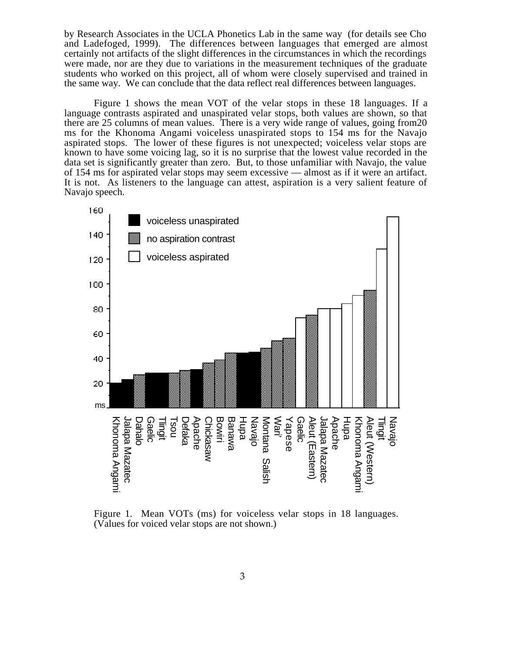by Research Associates in the UCLA Phonetics Lab in the same way (for details see Cho and Ladefoged, 1999). The differences between languages that emerged are almost certainly not artifacts of the slight differences in the circumstances in which the recordings were made, nor are they due to variations in the measurement techniques of the graduate students who worked on this project, all of whom were closely supervised and trained in the same way. We can conclude that the data reflect real differences between languages.

Figure 1 shows the mean VOT of the velar stops in these 18 languages. If a language contrasts aspirated and unaspirated velar stops, both values are shown, so that there are 25 columns of mean values. There is a very wide range of values, going from20 ms for the Khonoma Angami voiceless unaspirated stops to 154 ms for the Navajo aspirated stops. The lower of these figures is not unexpected; voiceless velar stops are known to have some voicing lag, so it is no surprise that the lowest value recorded in the data set is significantly greater than zero. But, to those unfamiliar with Navajo, the value of 154 ms for aspirated velar stops may seem excessive — almost as if it were an artifact. It is not. As listeners to the language can attest, aspiration is a very salient feature of Navajo speech.



Figure 1. Mean VOTs (ms) for voiceless velar stops in 18 languages. (Values for voiced velar stops are not shown.)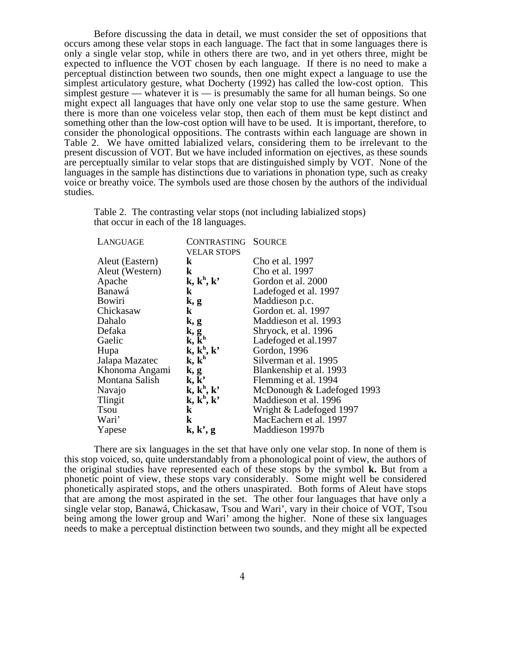Before discussing the data in detail, we must consider the set of oppositions that occurs among these velar stops in each language. The fact that in some languages there is only a single velar stop, while in others there are two, and in yet others three, might be expected to influence the VOT chosen by each language. If there is no need to make a perceptual distinction between two sounds, then one might expect a language to use the simplest articulatory gesture, what Docherty (1992) has called the low-cost option. This simplest gesture — whatever it is — is presumably the same for all human beings. So one might expect all languages that have only one velar stop to use the same gesture. When there is more than one voiceless velar stop, then each of them must be kept distinct and something other than the low-cost option will have to be used. It is important, therefore, to consider the phonological oppositions. The contrasts within each language are shown in Table 2. We have omitted labialized velars, considering them to be irrelevant to the present discussion of VOT. But we have included information on ejectives, as these sounds are perceptually similar to velar stops that are distinguished simply by VOT. None of the languages in the sample has distinctions due to variations in phonation type, such as creaky voice or breathy voice. The symbols used are those chosen by the authors of the individual studies.

Table 2. The contrasting velar stops (not including labialized stops) that occur in each of the 18 languages.

| LANGUAGE        | <b>CONTRASTING</b>        | <b>SOURCE</b>              |
|-----------------|---------------------------|----------------------------|
|                 | <b>VELAR STOPS</b>        |                            |
| Aleut (Eastern) | <b>k</b>                  | Cho et al. 1997            |
| Aleut (Western) | $\bf k$                   | Cho et al. 1997            |
| Apache          | $k, k^h, k^h$             | Gordon et al. 2000         |
| Banawá          | $\bf k$                   | Ladefoged et al. 1997      |
| <b>Bowiri</b>   | k, g                      | Maddieson p.c.             |
| Chickasaw       | $\bf k$                   | Gordon et. al. 1997        |
| Dahalo          | k, g                      | Maddieson et al. 1993      |
| Defaka          | k, g                      | Shryock, et al. 1996       |
| Gaelic          | $k, \bar{k}^h$            | Ladefoged et al.1997       |
| Hupa            | $k, k^h, k^h$             | Gordon, 1996               |
| Jalapa Mazatec  | $k, k^h$                  | Silverman et al. 1995      |
| Khonoma Angami  | k, g                      | Blankenship et al. 1993    |
| Montana Salish  | $\mathbf{k}, \mathbf{k'}$ | Flemming et al. 1994       |
| Navajo          | $k, k^h, k^h$             | McDonough & Ladefoged 1993 |
| Tlingit         | $k, k^h, k^h$             | Maddieson et al. 1996      |
| <b>Tsou</b>     | $\bf k$                   | Wright & Ladefoged 1997    |
| Wari'           | $\bf k$                   | MacEachern et al. 1997     |
| Yapese          | k, k', g                  | Maddieson 1997b            |

There are six languages in the set that have only one velar stop. In none of them is this stop voiced, so, quite understandably from a phonological point of view, the authors of the original studies have represented each of these stops by the symbol **k.** But from a phonetic point of view, these stops vary considerably. Some might well be considered phonetically aspirated stops, and the others unaspirated. Both forms of Aleut have stops that are among the most aspirated in the set. The other four languages that have only a single velar stop, Banawá, Chickasaw, Tsou and Wari', vary in their choice of VOT, Tsou being among the lower group and Wari' among the higher. None of these six languages needs to make a perceptual distinction between two sounds, and they might all be expected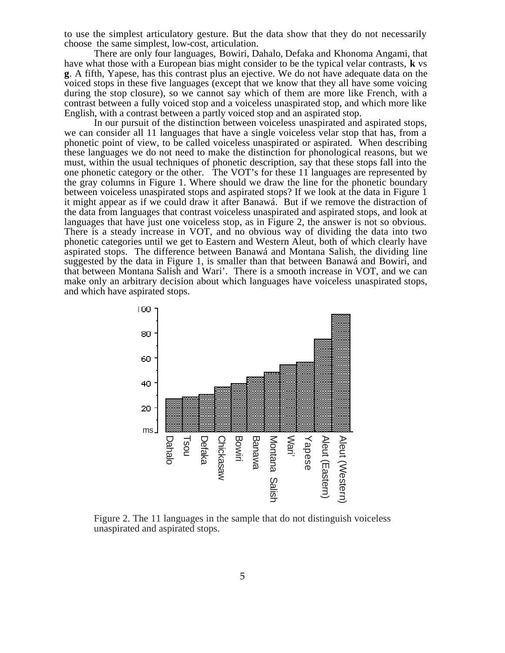to use the simplest articulatory gesture. But the data show that they do not necessarily choose the same simplest, low-cost, articulation.

There are only four languages, Bowiri, Dahalo, Defaka and Khonoma Angami, that have what those with a European bias might consider to be the typical velar contrasts, **k** vs **g**. A fifth, Yapese, has this contrast plus an ejective. We do not have adequate data on the voiced stops in these five languages (except that we know that they all have some voicing during the stop closure), so we cannot say which of them are more like French, with a contrast between a fully voiced stop and a voiceless unaspirated stop, and which more like English, with a contrast between a partly voiced stop and an aspirated stop.

In our pursuit of the distinction between voiceless unaspirated and aspirated stops, we can consider all 11 languages that have a single voiceless velar stop that has, from a phonetic point of view, to be called voiceless unaspirated or aspirated. When describing these languages we do not need to make the distinction for phonological reasons, but we must, within the usual techniques of phonetic description, say that these stops fall into the one phonetic category or the other. The VOT's for these 11 languages are represented by the gray columns in Figure 1. Where should we draw the line for the phonetic boundary between voiceless unaspirated stops and aspirated stops? If we look at the data in Figure 1 it might appear as if we could draw it after Banawá. But if we remove the distraction of the data from languages that contrast voiceless unaspirated and aspirated stops, and look at languages that have just one voiceless stop, as in Figure 2, the answer is not so obvious. There is a steady increase in VOT, and no obvious way of dividing the data into two phonetic categories until we get to Eastern and Western Aleut, both of which clearly have aspirated stops. The difference between Banawá and Montana Salish, the dividing line suggested by the data in Figure 1, is smaller than that between Banawá and Bowiri, and that between Montana Salish and Wari'. There is a smooth increase in VOT, and we can make only an arbitrary decision about which languages have voiceless unaspirated stops, and which have aspirated stops.



Figure 2. The 11 languages in the sample that do not distinguish voiceless unaspirated and aspirated stops.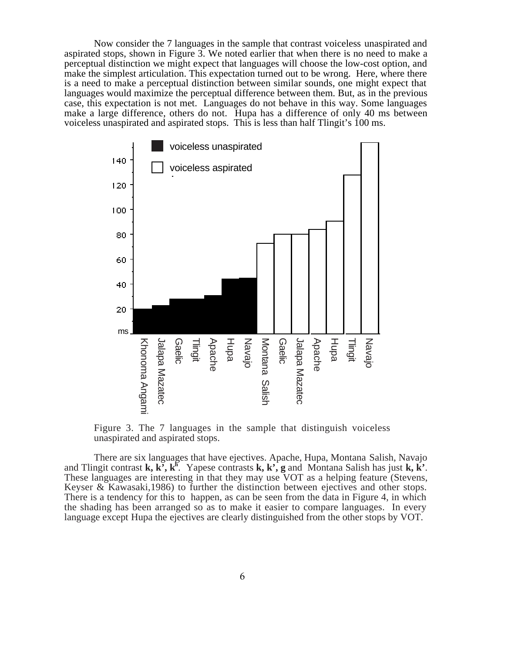Now consider the 7 languages in the sample that contrast voiceless unaspirated and aspirated stops, shown in Figure 3. We noted earlier that when there is no need to make a perceptual distinction we might expect that languages will choose the low-cost option, and make the simplest articulation. This expectation turned out to be wrong. Here, where there is a need to make a perceptual distinction between similar sounds, one might expect that languages would maximize the perceptual difference between them. But, as in the previous case, this expectation is not met. Languages do not behave in this way. Some languages make a large difference, others do not. Hupa has a difference of only 40 ms between voiceless unaspirated and aspirated stops. This is less than half Tlingit's 100 ms.



Figure 3. The 7 languages in the sample that distinguish voiceless unaspirated and aspirated stops.

There are six languages that have ejectives. Apache, Hupa, Montana Salish, Navajo and Tlingit contrast **k**, **k**<sup>5</sup>, **k**<sup>h</sup>. Yapese contrasts **k**, **k**<sup>2</sup>, **g** and Montana Salish has just **k**, **k**<sup>2</sup>. These languages are interesting in that they may use VOT as a helping feature (Stevens, Keyser & Kawasaki,1986) to further the distinction between ejectives and other stops. There is a tendency for this to happen, as can be seen from the data in Figure 4, in which the shading has been arranged so as to make it easier to compare languages. In every language except Hupa the ejectives are clearly distinguished from the other stops by VOT.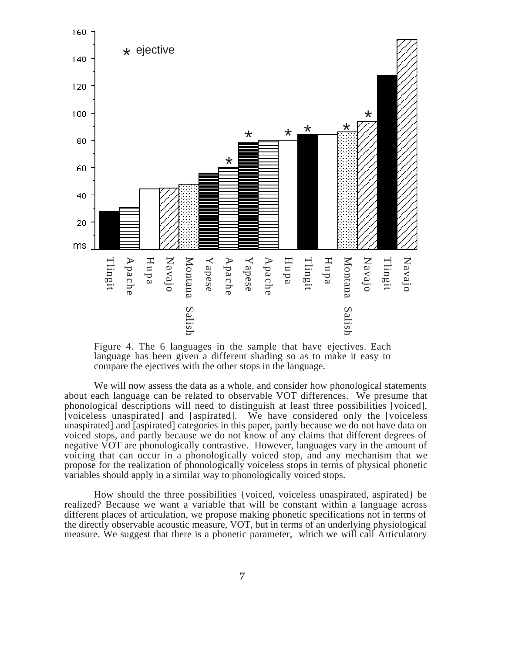

Figure 4. The 6 languages in the sample that have ejectives. Each language has been given a different shading so as to make it easy to compare the ejectives with the other stops in the language.

We will now assess the data as a whole, and consider how phonological statements about each language can be related to observable VOT differences. We presume that phonological descriptions will need to distinguish at least three possibilities [voiced], [voiceless unaspirated] and [aspirated]. We have considered only the [voiceless unaspirated] and [aspirated] categories in this paper, partly because we do not have data on voiced stops, and partly because we do not know of any claims that different degrees of negative VOT are phonologically contrastive. However, languages vary in the amount of voicing that can occur in a phonologically voiced stop, and any mechanism that we propose for the realization of phonologically voiceless stops in terms of physical phonetic variables should apply in a similar way to phonologically voiced stops.

How should the three possibilities {voiced, voiceless unaspirated, aspirated} be realized? Because we want a variable that will be constant within a language across different places of articulation, we propose making phonetic specifications not in terms of the directly observable acoustic measure, VOT, but in terms of an underlying physiological measure. We suggest that there is a phonetic parameter, which we will call Articulatory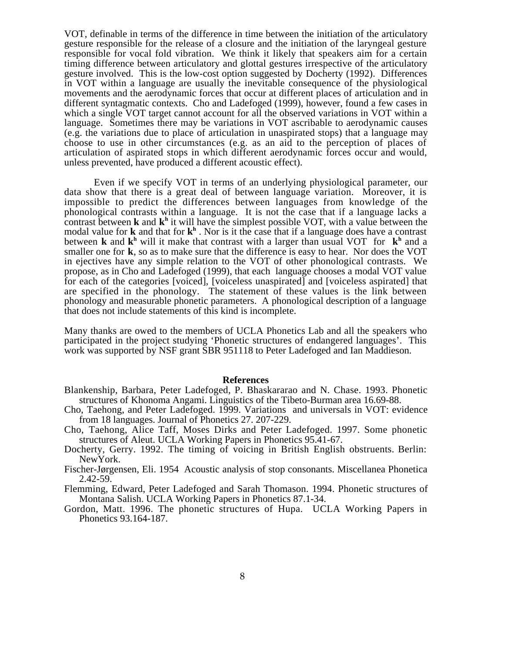VOT, definable in terms of the difference in time between the initiation of the articulatory gesture responsible for the release of a closure and the initiation of the laryngeal gesture responsible for vocal fold vibration. We think it likely that speakers aim for a certain timing difference between articulatory and glottal gestures irrespective of the articulatory gesture involved. This is the low-cost option suggested by Docherty (1992). Differences in VOT within a language are usually the inevitable consequence of the physiological movements and the aerodynamic forces that occur at different places of articulation and in different syntagmatic contexts. Cho and Ladefoged (1999), however, found a few cases in which a single VOT target cannot account for all the observed variations in VOT within a language. Sometimes there may be variations in VOT ascribable to aerodynamic causes (e.g. the variations due to place of articulation in unaspirated stops) that a language may choose to use in other circumstances (e.g. as an aid to the perception of places of articulation of aspirated stops in which different aerodynamic forces occur and would, unless prevented, have produced a different acoustic effect).

Even if we specify VOT in terms of an underlying physiological parameter, our data show that there is a great deal of between language variation. Moreover, it is impossible to predict the differences between languages from knowledge of the phonological contrasts within a language. It is not the case that if a language lacks a contrast between **k** and **k**<sup>h</sup> it will have the simplest possible VOT, with a value between the modal value for **k** and that for **k**<sup>h</sup>. Nor is it the case that if a language does have a contrast between **k** and **k**<sup>h</sup> will it make that contrast with a larger than usual VOT for **k**<sup>h</sup> and a smaller one for **k**, so as to make sure that the difference is easy to hear. Nor does the VOT in ejectives have any simple relation to the VOT of other phonological contrasts. We propose, as in Cho and Ladefoged (1999), that each language chooses a modal VOT value for each of the categories [voiced], [voiceless unaspirated] and [voiceless aspirated] that are specified in the phonology. The statement of these values is the link between phonology and measurable phonetic parameters. A phonological description of a language that does not include statements of this kind is incomplete.

Many thanks are owed to the members of UCLA Phonetics Lab and all the speakers who participated in the project studying 'Phonetic structures of endangered languages'. This work was supported by NSF grant SBR 951118 to Peter Ladefoged and Ian Maddieson.

## **References**

- Blankenship, Barbara, Peter Ladefoged, P. Bhaskararao and N. Chase. 1993. Phonetic structures of Khonoma Angami. Linguistics of the Tibeto-Burman area 16.69-88.
- Cho, Taehong, and Peter Ladefoged. 1999. Variations and universals in VOT: evidence from 18 languages. Journal of Phonetics 27. 207-229.
- Cho, Taehong, Alice Taff, Moses Dirks and Peter Ladefoged. 1997. Some phonetic structures of Aleut. UCLA Working Papers in Phonetics 95.41-67.
- Docherty, Gerry. 1992. The timing of voicing in British English obstruents. Berlin: NewYork.
- Fischer-Jørgensen, Eli. 1954 Acoustic analysis of stop consonants. Miscellanea Phonetica 2.42-59.
- Flemming, Edward, Peter Ladefoged and Sarah Thomason. 1994. Phonetic structures of Montana Salish. UCLA Working Papers in Phonetics 87.1-34.
- Gordon, Matt. 1996. The phonetic structures of Hupa. UCLA Working Papers in Phonetics 93.164-187.